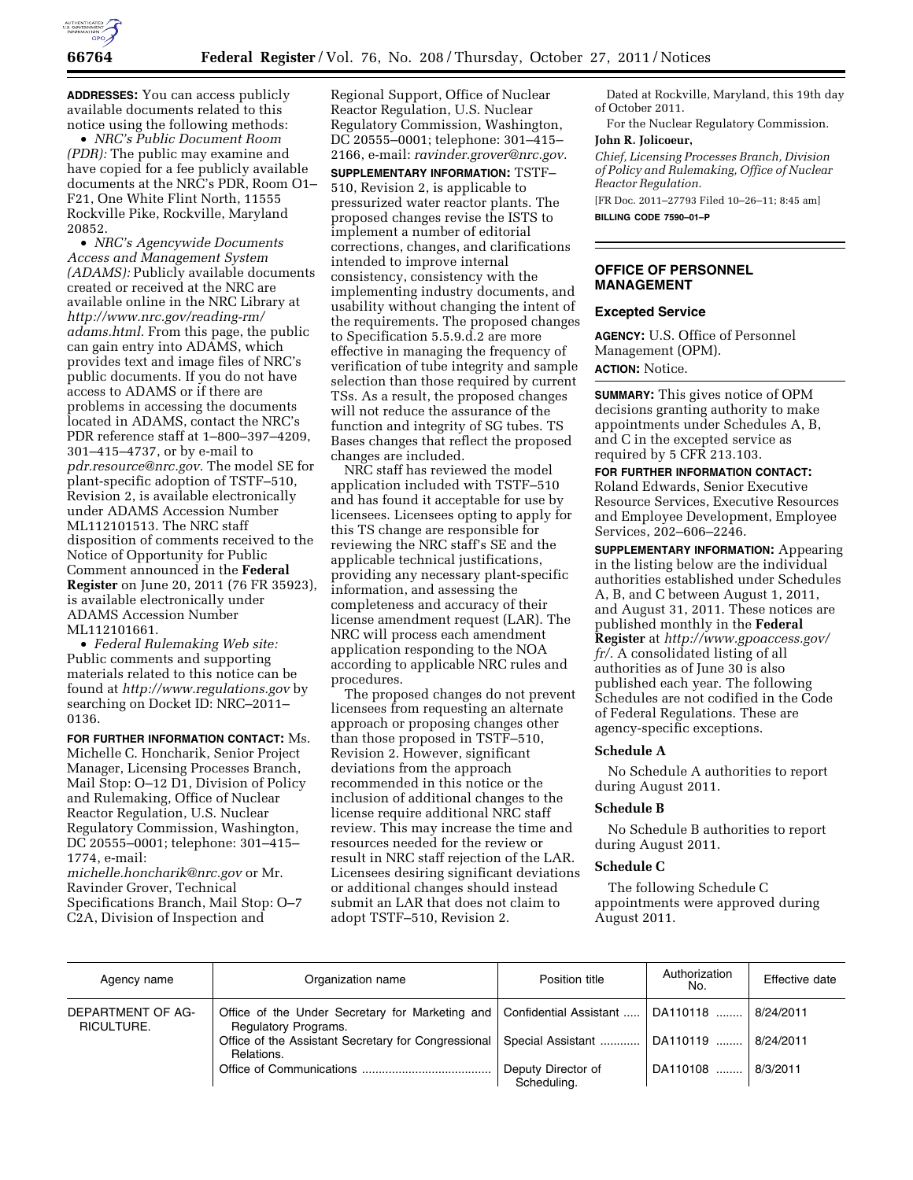

**ADDRESSES:** You can access publicly available documents related to this notice using the following methods:

• *NRC's Public Document Room (PDR):* The public may examine and have copied for a fee publicly available documents at the NRC's PDR, Room O1– F21, One White Flint North, 11555 Rockville Pike, Rockville, Maryland 20852.

• *NRC's Agencywide Documents Access and Management System (ADAMS):* Publicly available documents created or received at the NRC are available online in the NRC Library at *[http://www.nrc.gov/reading-rm/](http://www.nrc.gov/reading-rm/adams.html)  [adams.html.](http://www.nrc.gov/reading-rm/adams.html)* From this page, the public can gain entry into ADAMS, which provides text and image files of NRC's public documents. If you do not have access to ADAMS or if there are problems in accessing the documents located in ADAMS, contact the NRC's PDR reference staff at 1–800–397–4209, 301–415–4737, or by e-mail to *[pdr.resource@nrc.gov.](mailto:pdr.resource@nrc.gov)* The model SE for plant-specific adoption of TSTF–510, Revision 2, is available electronically under ADAMS Accession Number ML112101513. The NRC staff disposition of comments received to the Notice of Opportunity for Public Comment announced in the **Federal Register** on June 20, 2011 (76 FR 35923), is available electronically under ADAMS Accession Number ML112101661.

• *Federal Rulemaking Web site:*  Public comments and supporting materials related to this notice can be found at *<http://www.regulations.gov>* by searching on Docket ID: NRC–2011– 0136.

**FOR FURTHER INFORMATION CONTACT:** Ms. Michelle C. Honcharik, Senior Project Manager, Licensing Processes Branch, Mail Stop: O–12 D1, Division of Policy and Rulemaking, Office of Nuclear Reactor Regulation, U.S. Nuclear Regulatory Commission, Washington, DC 20555–0001; telephone: 301–415– 1774, e-mail:

*[michelle.honcharik@nrc.gov](mailto:michelle.honcharik@nrc.gov)* or Mr. Ravinder Grover, Technical Specifications Branch, Mail Stop: O–7 C2A, Division of Inspection and

Regional Support, Office of Nuclear Reactor Regulation, U.S. Nuclear Regulatory Commission, Washington, DC 20555–0001; telephone: 301–415– 2166, e-mail: *[ravinder.grover@nrc.gov.](mailto:ravinder.grover@nrc.gov)*  **SUPPLEMENTARY INFORMATION:** TSTF– 510, Revision 2, is applicable to pressurized water reactor plants. The proposed changes revise the ISTS to implement a number of editorial corrections, changes, and clarifications intended to improve internal consistency, consistency with the implementing industry documents, and usability without changing the intent of the requirements. The proposed changes to Specification 5.5.9.d.2 are more effective in managing the frequency of verification of tube integrity and sample selection than those required by current TSs. As a result, the proposed changes will not reduce the assurance of the function and integrity of SG tubes. TS Bases changes that reflect the proposed changes are included.

NRC staff has reviewed the model application included with TSTF–510 and has found it acceptable for use by licensees. Licensees opting to apply for this TS change are responsible for reviewing the NRC staff's SE and the applicable technical justifications, providing any necessary plant-specific information, and assessing the completeness and accuracy of their license amendment request (LAR). The NRC will process each amendment application responding to the NOA according to applicable NRC rules and procedures.

The proposed changes do not prevent licensees from requesting an alternate approach or proposing changes other than those proposed in TSTF–510, Revision 2. However, significant deviations from the approach recommended in this notice or the inclusion of additional changes to the license require additional NRC staff review. This may increase the time and resources needed for the review or result in NRC staff rejection of the LAR. Licensees desiring significant deviations or additional changes should instead submit an LAR that does not claim to adopt TSTF–510, Revision 2.

Dated at Rockville, Maryland, this 19th day of October 2011.

For the Nuclear Regulatory Commission. **John R. Jolicoeur,** 

*Chief, Licensing Processes Branch, Division of Policy and Rulemaking, Office of Nuclear Reactor Regulation.* 

[FR Doc. 2011–27793 Filed 10–26–11; 8:45 am] **BILLING CODE 7590–01–P** 

## **OFFICE OF PERSONNEL MANAGEMENT**

### **Excepted Service**

**AGENCY:** U.S. Office of Personnel Management (OPM). **ACTION:** Notice.

**SUMMARY:** This gives notice of OPM decisions granting authority to make appointments under Schedules A, B, and C in the excepted service as required by 5 CFR 213.103.

**FOR FURTHER INFORMATION CONTACT:**  Roland Edwards, Senior Executive Resource Services, Executive Resources and Employee Development, Employee Services, 202–606–2246.

**SUPPLEMENTARY INFORMATION:** Appearing in the listing below are the individual authorities established under Schedules A, B, and C between August 1, 2011, and August 31, 2011. These notices are published monthly in the **Federal Register** at *[http://www.gpoaccess.gov/](http://www.gpoaccess.gov/fr/)  [fr/.](http://www.gpoaccess.gov/fr/)* A consolidated listing of all authorities as of June 30 is also published each year. The following Schedules are not codified in the Code of Federal Regulations. These are agency-specific exceptions.

## **Schedule A**

No Schedule A authorities to report during August 2011.

### **Schedule B**

No Schedule B authorities to report during August 2011.

## **Schedule C**

The following Schedule C appointments were approved during August 2011.

| Agency name                     | Organization name                                                                                        | Position title                    | Authorization<br>No. | Effective date |
|---------------------------------|----------------------------------------------------------------------------------------------------------|-----------------------------------|----------------------|----------------|
| DEPARTMENT OF AG-<br>RICULTURE. | Office of the Under Secretary for Marketing and Confidential Assistant  DA110118<br>Regulatory Programs. |                                   |                      | 8/24/2011      |
|                                 | Office of the Assistant Secretary for Congressional  <br>Relations.                                      | Special Assistant    DA110119     |                      | 8/24/2011      |
|                                 |                                                                                                          | Deputy Director of<br>Scheduling. | DA110108             | 8/3/2011       |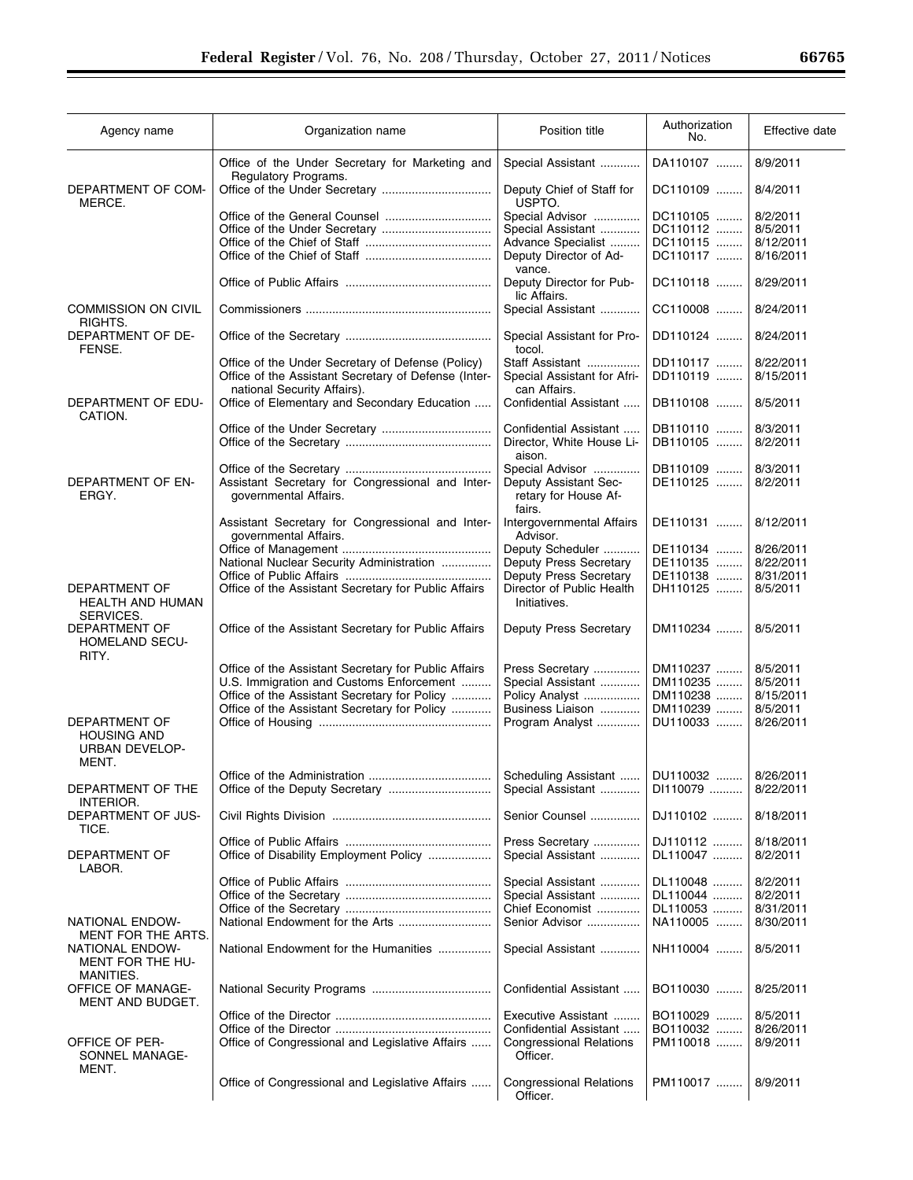$\equiv$ 

| Agency name                                                           | Organization name                                                                                                                        | Position title                                                 | Authorization<br>No. | Effective date         |
|-----------------------------------------------------------------------|------------------------------------------------------------------------------------------------------------------------------------------|----------------------------------------------------------------|----------------------|------------------------|
|                                                                       | Office of the Under Secretary for Marketing and<br>Regulatory Programs.                                                                  | Special Assistant                                              | DA110107             | 8/9/2011               |
| DEPARTMENT OF COM-<br>MERCE.                                          |                                                                                                                                          | Deputy Chief of Staff for<br>USPTO.                            | DC110109             | 8/4/2011               |
|                                                                       | Office of the General Counsel                                                                                                            | Special Advisor                                                | DC110105             | 8/2/2011               |
|                                                                       |                                                                                                                                          | Special Assistant                                              | DC110112             | 8/5/2011               |
|                                                                       |                                                                                                                                          | Advance Specialist                                             | DC110115             | 8/12/2011              |
|                                                                       |                                                                                                                                          | Deputy Director of Ad-<br>vance.                               | DC110117             | 8/16/2011              |
|                                                                       |                                                                                                                                          | Deputy Director for Pub-<br>lic Affairs.                       | DC110118             | 8/29/2011              |
| <b>COMMISSION ON CIVIL</b><br>RIGHTS.                                 |                                                                                                                                          | Special Assistant                                              | CC110008             | 8/24/2011              |
| DEPARTMENT OF DE-<br>FENSE.                                           |                                                                                                                                          | Special Assistant for Pro-<br>tocol.                           | DD110124             | 8/24/2011              |
|                                                                       | Office of the Under Secretary of Defense (Policy)<br>Office of the Assistant Secretary of Defense (Inter-<br>national Security Affairs). | Staff Assistant<br>Special Assistant for Afri-<br>can Affairs. | DD110117<br>DD110119 | 8/22/2011<br>8/15/2011 |
| DEPARTMENT OF EDU-<br>CATION.                                         | Office of Elementary and Secondary Education                                                                                             | Confidential Assistant                                         | DB110108             | 8/5/2011               |
|                                                                       |                                                                                                                                          | Confidential Assistant                                         | DB110110             | 8/3/2011               |
|                                                                       |                                                                                                                                          | Director, White House Li-<br>aison.                            | DB110105             | 8/2/2011               |
|                                                                       |                                                                                                                                          | Special Advisor                                                | DB110109             | 8/3/2011               |
| DEPARTMENT OF EN-<br>ERGY.                                            | Assistant Secretary for Congressional and Inter-<br>governmental Affairs.                                                                | Deputy Assistant Sec-<br>retary for House Af-                  | DE110125             | 8/2/2011               |
|                                                                       | Assistant Secretary for Congressional and Inter-<br>governmental Affairs.                                                                | fairs.<br>Intergovernmental Affairs<br>Advisor.                | DE110131             | 8/12/2011              |
|                                                                       |                                                                                                                                          | Deputy Scheduler                                               | DE110134             | 8/26/2011              |
|                                                                       | National Nuclear Security Administration                                                                                                 | Deputy Press Secretary                                         | DE110135             | 8/22/2011              |
|                                                                       |                                                                                                                                          | Deputy Press Secretary                                         | DE110138             | 8/31/2011              |
| DEPARTMENT OF<br>HEALTH AND HUMAN<br>SERVICES.                        | Office of the Assistant Secretary for Public Affairs                                                                                     | Director of Public Health<br>Initiatives.                      | DH110125             | 8/5/2011               |
| DEPARTMENT OF<br><b>HOMELAND SECU-</b><br>RITY.                       | Office of the Assistant Secretary for Public Affairs                                                                                     | <b>Deputy Press Secretary</b>                                  | DM110234             | 8/5/2011               |
|                                                                       | Office of the Assistant Secretary for Public Affairs                                                                                     | Press Secretary                                                | DM110237             | 8/5/2011               |
|                                                                       | U.S. Immigration and Customs Enforcement                                                                                                 | Special Assistant                                              | DM110235             | 8/5/2011               |
|                                                                       | Office of the Assistant Secretary for Policy                                                                                             | Policy Analyst                                                 | DM110238             | 8/15/2011              |
|                                                                       | Office of the Assistant Secretary for Policy                                                                                             | Business Liaison                                               | DM110239             | 8/5/2011               |
| DEPARTMENT OF<br><b>HOUSING AND</b><br><b>URBAN DEVELOP-</b><br>MENT. |                                                                                                                                          | Program Analyst                                                | DU110033             | 8/26/2011              |
|                                                                       |                                                                                                                                          | Scheduling Assistant                                           | DU110032             | 8/26/2011              |
| DEPARTMENT OF THE<br><b>INTERIOR.</b>                                 |                                                                                                                                          | Special Assistant                                              | DI110079             | 8/22/2011              |
| <b>DEPARTMENT OF JUS-</b><br>TICE.                                    |                                                                                                                                          | Senior Counsel                                                 | DJ110102             | 8/18/2011              |
| DEPARTMENT OF<br>LABOR.                                               | Office of Disability Employment Policy                                                                                                   | Press Secretary<br>Special Assistant                           | DJ110112<br>DL110047 | 8/18/2011<br>8/2/2011  |
|                                                                       |                                                                                                                                          | Special Assistant                                              | DL110048             | 8/2/2011               |
|                                                                       |                                                                                                                                          | Special Assistant                                              | DL110044             | 8/2/2011               |
|                                                                       |                                                                                                                                          | Chief Economist                                                | DL110053             | 8/31/2011              |
| NATIONAL ENDOW-<br>MENT FOR THE ARTS.                                 |                                                                                                                                          | Senior Advisor                                                 | NA110005             | 8/30/2011              |
| NATIONAL ENDOW-<br>MENT FOR THE HU-<br>MANITIES.                      | National Endowment for the Humanities                                                                                                    | Special Assistant                                              | NH110004             | 8/5/2011               |
| <b>OFFICE OF MANAGE-</b><br>MENT AND BUDGET.                          |                                                                                                                                          | Confidential Assistant                                         | BO110030             | 8/25/2011              |
|                                                                       |                                                                                                                                          | Executive Assistant                                            | BO110029             | 8/5/2011               |
|                                                                       |                                                                                                                                          | Confidential Assistant                                         | BO110032             | 8/26/2011              |
| OFFICE OF PER-<br>SONNEL MANAGE-<br>MENT.                             | Office of Congressional and Legislative Affairs                                                                                          | <b>Congressional Relations</b><br>Officer.                     | PM110018             | 8/9/2011               |
|                                                                       | Office of Congressional and Legislative Affairs                                                                                          | <b>Congressional Relations</b><br>Officer.                     | PM110017             | 8/9/2011               |